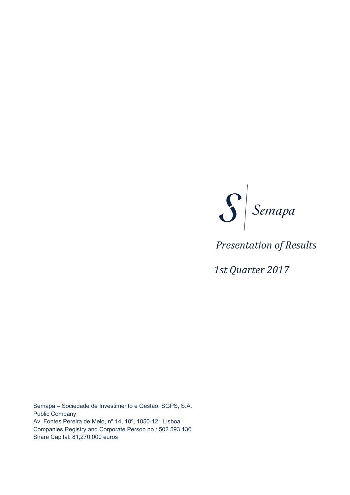

# *Presentation of Results*

 *1st Quarter 2017*

Semapa – Sociedade de Investimento e Gestão, SGPS, S.A. Public Company Av. Fontes Pereira de Melo, nº 14, 10º, 1050-121 Lisboa Companies Registry and Corporate Person no.: 502 593 130 Share Capital: 81,270,000 euros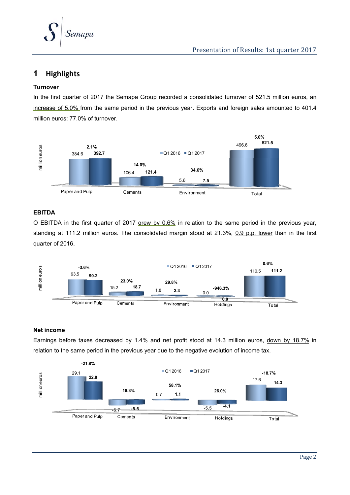

### **1 Highlights**

#### **Turnover**

In the first quarter of 2017 the Semapa Group recorded a consolidated turnover of 521.5 million euros, an increase of 5.0% from the same period in the previous year. Exports and foreign sales amounted to 401.4 million euros: 77.0% of turnover.



#### **EBITDA**

O EBITDA in the first quarter of 2017 grew by 0.6% in relation to the same period in the previous year, standing at 111.2 million euros. The consolidated margin stood at 21.3%, 0.9 p.p. lower than in the first quarter of 2016.



#### **Net income**

Earnings before taxes decreased by 1.4% and net profit stood at 14.3 million euros, down by 18.7% in relation to the same period in the previous year due to the negative evolution of income tax.

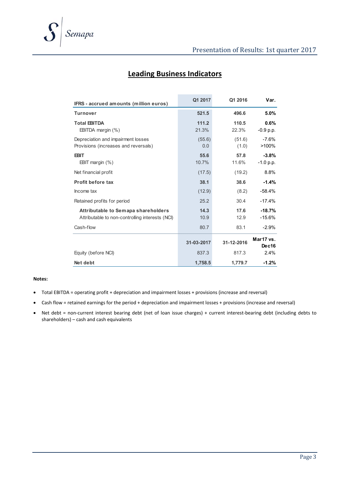| IFRS - accrued amounts (million euros)                                                              | Q1 2017              | Q1 2016              | Var.                            |
|-----------------------------------------------------------------------------------------------------|----------------------|----------------------|---------------------------------|
| <b>Turnover</b>                                                                                     | 521.5                | 496.6                | 5.0%                            |
| <b>Total EBITDA</b><br>EBITDA margin (%)                                                            | 111.2<br>21.3%       | 110.5<br>22.3%       | 0.6%<br>$-0.9 p.p.$             |
| Depreciation and impairment losses<br>Provisions (increases and reversals)                          | (55.6)<br>0.0        | (51.6)<br>(1.0)      | $-7.6%$<br>>100%                |
| <b>EBIT</b><br>EBIT margin $(\%)$                                                                   | 55.6<br>10.7%        | 57.8<br>11.6%        | $-3.8%$<br>$-1.0 p.p.$          |
| Net financial profit                                                                                | (17.5)               | (19.2)               | 8.8%                            |
| <b>Profit before tax</b>                                                                            | 38.1                 | 38.6                 | $-1.4%$                         |
| Income tax                                                                                          | (12.9)               | (8.2)                | $-58.4%$                        |
| Retained profits for period                                                                         | 25.2                 | 30.4                 | $-17.4%$                        |
| Attributable to Semapa shareholders<br>Attributable to non-controlling interests (NCI)<br>Cash-flow | 14.3<br>10.9<br>80.7 | 17.6<br>12.9<br>83.1 | $-18.7%$<br>$-15.6%$<br>$-2.9%$ |
|                                                                                                     | 31-03-2017           | 31-12-2016           | Mar17 vs.<br>Dec16              |
| Equity (before NCI)                                                                                 | 837.3                | 817.3                | 2.4%                            |
| Net debt                                                                                            | 1,758.5              | 1,779.7              | $-1.2%$                         |

## **Leading Business Indicators**

#### **Notes:**

- Total EBITDA = operating profit + depreciation and impairment losses + provisions (increase and reversal)
- Cash flow = retained earnings for the period + depreciation and impairment losses + provisions (increase and reversal)
- Net debt = non-current interest bearing debt (net of loan issue charges) + current interest-bearing debt (including debts to shareholders) – cash and cash equivalents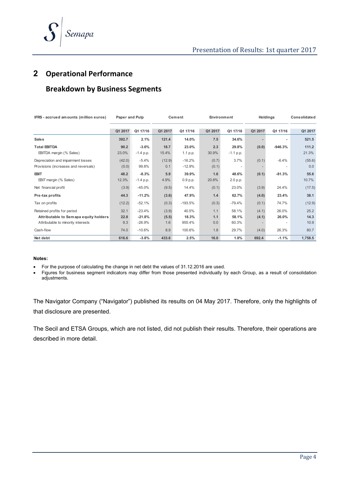

### **2 Operational Performance**

### **Breakdown by Business Segments**

| IFRS - accrued amounts (million euros)                                                                     | Paper and Pulp      |                                  |                       | Cement                   | Environment       |                         |                | Holdings       | Consolidated         |
|------------------------------------------------------------------------------------------------------------|---------------------|----------------------------------|-----------------------|--------------------------|-------------------|-------------------------|----------------|----------------|----------------------|
|                                                                                                            | Q1 2017             | Q1 17/16                         | Q1 2017               | Q1 17/16                 | Q1 2017           | Q1 17/16                | Q1 2017        | Q1 17/16       | Q1 2017              |
| <b>Sales</b>                                                                                               | 392.7               | 2.1%                             | 121.4                 | 14.0%                    | 7.5               | 34.6%                   |                |                | 521.5                |
| <b>Total EBITDA</b><br>EBITDA margin (% Sales)                                                             | 90.2<br>23.0%       | $-3.6%$<br>$-1.4$ p.p.           | 18.7<br>15.4%         | 23.0%<br>1.1 p.p.        | 2.3<br>30.9%      | 29.8%<br>$-1.1$ p.p.    | (0.0)          | $-946.3%$      | 111.2<br>21.3%       |
| Depreciation and impairment losses<br>Provisions (increases and reversals)                                 | (42.0)<br>(0.0)     | $-5.4%$<br>99.8%                 | (12.9)<br>0.1         | $-16.2%$<br>$-12.9%$     | (0.7)<br>(0.1)    | 3.7%                    | (0.1)          | $-6.4%$        | (55.6)<br>0.0        |
| <b>EBIT</b><br>EBIT margin (% Sales)                                                                       | 48.2<br>12.3%       | $-8.3%$<br>$-1.4$ p.p.           | 5.9<br>4.9%           | 39.9%<br>0.9 p.p.        | 1.6<br>20.8%      | 48.6%<br>2.0 p.p.       | (0.1)          | $-81.3%$       | 55.6<br>10.7%        |
| Net financial profit                                                                                       | (3.9)               | $-45.0%$                         | (9.5)                 | 14.4%                    | (0.1)             | 23.0%                   | (3.9)          | 24.4%          | (17.5)               |
| Pre-tax profits                                                                                            | 44.3                | $-11.2%$                         | (3.6)                 | 47.9%                    | 1.4               | 62.7%                   | (4.0)          | 23.4%          | 38.1                 |
| Tax on profits                                                                                             | (12.2)              | $-52.1%$                         | (0.3)                 | $-193.5%$                | (0.3)             | $-79.4%$                | (0.1)          | 74.7%          | (12.9)               |
| Retained profits for period<br>Attributable to Semapa equity holders<br>Attributable to minority interests | 32.1<br>22.8<br>9.3 | $-23.4%$<br>$-21.8%$<br>$-26.9%$ | (3.9)<br>(5.5)<br>1.6 | 40.5%<br>18.3%<br>955.4% | 1.1<br>1.1<br>0.0 | 58.1%<br>58.1%<br>60.3% | (4.1)<br>(4.1) | 26.0%<br>26.0% | 25.2<br>14.3<br>10.9 |
| Cash-flow                                                                                                  | 74.0                | $-10.6%$                         | 8.9                   | 100.6%                   | 1.8               | 29.7%                   | (4.0)          | 26.3%          | 80.7                 |
| Net debt                                                                                                   | 616.6               | $-3.8%$                          | 433.6                 | 2.5%                     | 16.0              | 1.8%                    | 692.4          | $-1.1%$        | 1,758.5              |

#### **Notes:**

For the purpose of calculating the change in net debt the values of 31.12.2016 are used.

 Figures for business segment indicators may differ from those presented individually by each Group, as a result of consolidation adjustments.

The Navigator Company ("Navigator") published its results on 04 May 2017. Therefore, only the highlights of that disclosure are presented.

The Secil and ETSA Groups, which are not listed, did not publish their results. Therefore, their operations are described in more detail.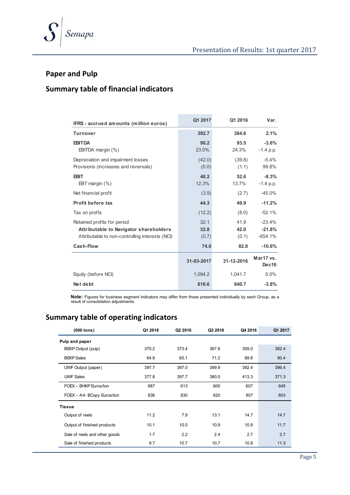



### **Paper and Pulp**

## **Summary table of financial indicators**

| IFRS - accrued amounts (million euros)                                                                                   | Q1 2017               | Q1 2016               | Var.                              |
|--------------------------------------------------------------------------------------------------------------------------|-----------------------|-----------------------|-----------------------------------|
| <b>Turnover</b>                                                                                                          | 392.7                 | 384.6                 | 2.1%                              |
| <b>EBITDA</b><br>EBITDA margin (%)                                                                                       | 90.2<br>23.0%         | 93.5<br>24.3%         | $-3.6%$<br>$-1.4$ p.p.            |
| Depreciation and impairment losses<br>Provisions (increases and reversals)                                               | (42.0)<br>(0.0)       | (39.8)<br>(1.1)       | $-5.4%$<br>99.8%                  |
| <b>EBIT</b><br>EBT margin $(\%)$                                                                                         | 48.2<br>12.3%         | 52.6<br>13.7%         | $-8.3%$<br>$-1.4 p.p.$            |
| Net financial profit                                                                                                     | (3.9)                 | (2.7)                 | $-45.0%$                          |
| <b>Profit before tax</b>                                                                                                 | 44.3                  | 49.9                  | $-11.2%$                          |
| Tax on profts                                                                                                            | (12.2)                | (8.0)                 | $-52.1%$                          |
| Retained profits for period<br>Attributable to Navigator shareholders<br>Attributable to non-controlling interests (NCI) | 32.1<br>32.8<br>(0.7) | 41.9<br>42.0<br>(0.1) | $-23.4%$<br>$-21.8%$<br>$-654.1%$ |
| Cash-Flow                                                                                                                | 74.0                  | 82.8                  | $-10.6%$                          |
|                                                                                                                          | 31-03-2017            | 31-12-2016            | Mar17 vs.<br>Dec16                |
| Equity (before NCI)                                                                                                      | 1.094.2               | 1.041.7               | 5.0%                              |
| Net debt                                                                                                                 | 616.6                 | 640.7                 | $-3.8%$                           |

**Note:** Figures for business segment indicators may differ from those presented individually by each Group, as a result of consolidation adjustments.

## **Summary table of operating indicators**

| $(000$ tons)                  | Q1 2016 | Q2 2016 | Q3 2016 | Q4 2016 | Q1 2017 |
|-------------------------------|---------|---------|---------|---------|---------|
| Pulp and paper                |         |         |         |         |         |
| BEKP Output (pulp)            | 370.2   | 373.4   | 367.8   | 359.0   | 382.4   |
| <b>BEKP</b> Sales             | 64.6    | 65.1    | 71.2    | 89.8    | 90.4    |
| UWF Output (paper)            | 397.7   | 397.0   | 399.9   | 392.4   | 396.4   |
| <b>UWF Sales</b>              | 377.8   | 397.7   | 380.0   | 413.3   | 371.3   |
| FOEX - BHKP Euros/ton         | 687     | 613     | 600     | 607     | 645     |
| FOEX - A4- BCopy Euros/ton    | 836     | 830     | 820     | 807     | 803     |
| <b>Tissue</b>                 |         |         |         |         |         |
| Output of reels               | 11.2    | 7.9     | 13.1    | 14.7    | 14.7    |
| Output of finished products   | 10.1    | 10.0    | 10.9    | 10.8    | 11.7    |
| Sale of reels and other goods | 1.7     | 2.2     | 2.4     | 2.7     | 2.7     |
| Sale of finished products     | 9.7     | 10.7    | 10.7    | 10.8    | 11.3    |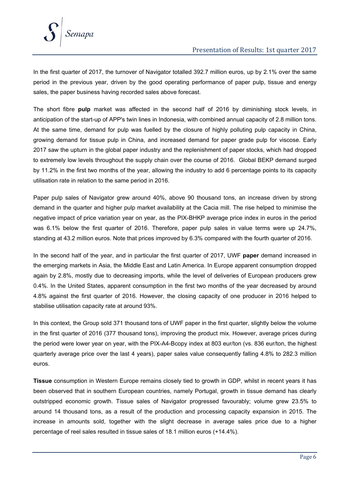

In the first quarter of 2017, the turnover of Navigator totalled 392.7 million euros, up by 2.1% over the same period in the previous year, driven by the good operating performance of paper pulp, tissue and energy sales, the paper business having recorded sales above forecast.

The short fibre **pulp** market was affected in the second half of 2016 by diminishing stock levels, in anticipation of the start-up of APP's twin lines in Indonesia, with combined annual capacity of 2.8 million tons. At the same time, demand for pulp was fuelled by the closure of highly polluting pulp capacity in China, growing demand for tissue pulp in China, and increased demand for paper grade pulp for viscose. Early 2017 saw the upturn in the global paper industry and the replenishment of paper stocks, which had dropped to extremely low levels throughout the supply chain over the course of 2016. Global BEKP demand surged by 11.2% in the first two months of the year, allowing the industry to add 6 percentage points to its capacity utilisation rate in relation to the same period in 2016.

Paper pulp sales of Navigator grew around 40%, above 90 thousand tons, an increase driven by strong demand in the quarter and higher pulp market availability at the Cacia mill. The rise helped to minimise the negative impact of price variation year on year, as the PIX-BHKP average price index in euros in the period was 6.1% below the first quarter of 2016. Therefore, paper pulp sales in value terms were up 24.7%, standing at 43.2 million euros. Note that prices improved by 6.3% compared with the fourth quarter of 2016.

In the second half of the year, and in particular the first quarter of 2017, UWF **paper** demand increased in the emerging markets in Asia, the Middle East and Latin America. In Europe apparent consumption dropped again by 2.8%, mostly due to decreasing imports, while the level of deliveries of European producers grew 0.4%. In the United States, apparent consumption in the first two months of the year decreased by around 4.8% against the first quarter of 2016. However, the closing capacity of one producer in 2016 helped to stabilise utilisation capacity rate at around 93%.

In this context, the Group sold 371 thousand tons of UWF paper in the first quarter, slightly below the volume in the first quarter of 2016 (377 thousand tons), improving the product mix. However, average prices during the period were lower year on year, with the PIX-A4-Bcopy index at 803 eur/ton (vs. 836 eur/ton, the highest quarterly average price over the last 4 years), paper sales value consequently falling 4.8% to 282.3 million euros.

**Tissue** consumption in Western Europe remains closely tied to growth in GDP, whilst in recent years it has been observed that in southern European countries, namely Portugal, growth in tissue demand has clearly outstripped economic growth. Tissue sales of Navigator progressed favourably; volume grew 23.5% to around 14 thousand tons, as a result of the production and processing capacity expansion in 2015. The increase in amounts sold, together with the slight decrease in average sales price due to a higher percentage of reel sales resulted in tissue sales of 18.1 million euros (+14.4%).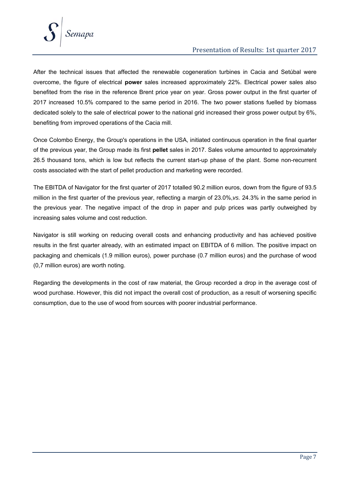

#### Presentation of Results: 1st quarter 2017

After the technical issues that affected the renewable cogeneration turbines in Cacia and Setúbal were overcome, the figure of electrical **power** sales increased approximately 22%. Electrical power sales also benefited from the rise in the reference Brent price year on year. Gross power output in the first quarter of 2017 increased 10.5% compared to the same period in 2016. The two power stations fuelled by biomass dedicated solely to the sale of electrical power to the national grid increased their gross power output by 6%, benefiting from improved operations of the Cacia mill.

Once Colombo Energy, the Group's operations in the USA, initiated continuous operation in the final quarter of the previous year, the Group made its first **pellet** sales in 2017. Sales volume amounted to approximately 26.5 thousand tons, which is low but reflects the current start-up phase of the plant. Some non-recurrent costs associated with the start of pellet production and marketing were recorded.

The EBITDA of Navigator for the first quarter of 2017 totalled 90.2 million euros, down from the figure of 93.5 million in the first quarter of the previous year, reflecting a margin of 23.0%,*vs.* 24.3% in the same period in the previous year. The negative impact of the drop in paper and pulp prices was partly outweighed by increasing sales volume and cost reduction.

Navigator is still working on reducing overall costs and enhancing productivity and has achieved positive results in the first quarter already, with an estimated impact on EBITDA of 6 million. The positive impact on packaging and chemicals (1.9 million euros), power purchase (0.7 million euros) and the purchase of wood (0,7 million euros) are worth noting.

Regarding the developments in the cost of raw material, the Group recorded a drop in the average cost of wood purchase. However, this did not impact the overall cost of production, as a result of worsening specific consumption, due to the use of wood from sources with poorer industrial performance.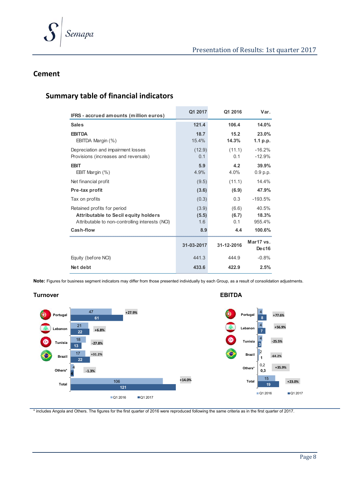

#### **Cement**

### **Summary table of financial indicators**

| IFRS - accrued amounts (million euros)                                                                                 | Q1 2017               | Q1 2016               | Var.                     |
|------------------------------------------------------------------------------------------------------------------------|-----------------------|-----------------------|--------------------------|
| <b>Sales</b>                                                                                                           | 121.4                 | 106.4                 | 14.0%                    |
| <b>EBITDA</b><br>EBITDA Margin (%)                                                                                     | 18.7<br>15.4%         | 15.2<br>14.3%         | 23.0%<br>1.1 $p.p.$      |
| Depreciation and impairment losses<br>Provisions (increases and reversals)                                             | (12.9)<br>0.1         | (11.1)<br>0.1         | $-16.2%$<br>$-12.9%$     |
| <b>EBIT</b><br>EBIT Margin $(\%)$                                                                                      | 5.9<br>4.9%           | 4.2<br>4.0%           | 39.9%<br>0.9 p.p.        |
| Net financial profit                                                                                                   | (9.5)                 | (11.1)                | 14.4%                    |
| Pre-tax profit                                                                                                         | (3.6)                 | (6.9)                 | 47.9%                    |
| Tax on profits                                                                                                         | (0.3)                 | 0.3                   | $-193.5%$                |
| Retained profits for period<br>Attributable to Secil equity holders<br>Attributable to non-controlling interests (NCI) | (3.9)<br>(5.5)<br>1.6 | (6.6)<br>(6.7)<br>0.1 | 40.5%<br>18.3%<br>955.4% |
| Cash-flow                                                                                                              | 8.9                   | 4.4                   | 100.6%                   |
|                                                                                                                        | 31-03-2017            | 31-12-2016            | Mar17 vs.<br>Dec16       |
| Equity (before NCI)                                                                                                    | 441.3                 | 444.9                 | $-0.8%$                  |
| Net debt                                                                                                               | 433.6                 | 422.9                 | 2.5%                     |

**Note:** Figures for business segment indicators may differ from those presented individually by each Group, as a result of consolidation adjustments.



\* includes Angola and Others. The figures for the first quarter of 2016 were reproduced following the same criteria as in the first quarter of 2017.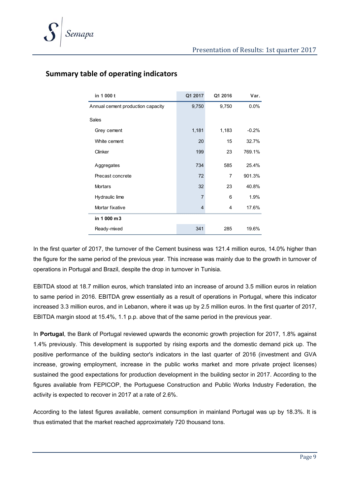| in 1 000 t                        | Q1 2017        | Q1 2016        | Var.    |
|-----------------------------------|----------------|----------------|---------|
| Annual cement production capacity | 9,750          | 9,750          | $0.0\%$ |
| Sales                             |                |                |         |
| Grey cement                       | 1,181          | 1,183          | $-0.2%$ |
| White cement                      | 20             | 15             | 32.7%   |
| Clinker                           | 199            | 23             | 769.1%  |
| Aggregates                        | 734            | 585            | 25.4%   |
| Precast concrete                  | 72             | $\overline{7}$ | 901.3%  |
| <b>Mortars</b>                    | 32             | 23             | 40.8%   |
| Hydraulic lime                    | $\overline{7}$ | 6              | 1.9%    |
| Mortar fixative                   | $\overline{4}$ | 4              | 17.6%   |
| in 1 000 m3                       |                |                |         |
| Ready-mixed                       | 341            | 285            | 19.6%   |

### **Summary table of operating indicators**

In the first quarter of 2017, the turnover of the Cement business was 121.4 million euros, 14.0% higher than the figure for the same period of the previous year. This increase was mainly due to the growth in turnover of operations in Portugal and Brazil, despite the drop in turnover in Tunisia.

EBITDA stood at 18.7 million euros, which translated into an increase of around 3.5 million euros in relation to same period in 2016. EBITDA grew essentially as a result of operations in Portugal, where this indicator increased 3.3 million euros, and in Lebanon, where it was up by 2.5 million euros. In the first quarter of 2017, EBITDA margin stood at 15.4%, 1.1 p.p. above that of the same period in the previous year.

In **Portugal**, the Bank of Portugal reviewed upwards the economic growth projection for 2017, 1.8% against 1.4% previously. This development is supported by rising exports and the domestic demand pick up. The positive performance of the building sector's indicators in the last quarter of 2016 (investment and GVA increase, growing employment, increase in the public works market and more private project licenses) sustained the good expectations for production development in the building sector in 2017. According to the figures available from FEPICOP, the Portuguese Construction and Public Works Industry Federation, the activity is expected to recover in 2017 at a rate of 2.6%.

According to the latest figures available, cement consumption in mainland Portugal was up by 18.3%. It is thus estimated that the market reached approximately 720 thousand tons.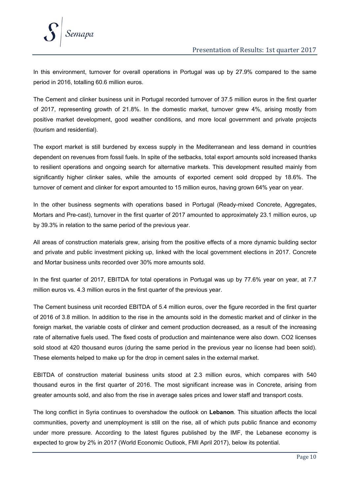

In this environment, turnover for overall operations in Portugal was up by 27.9% compared to the same period in 2016, totalling 60.6 million euros.

The Cement and clinker business unit in Portugal recorded turnover of 37.5 million euros in the first quarter of 2017, representing growth of 21.8%. In the domestic market, turnover grew 4%, arising mostly from positive market development, good weather conditions, and more local government and private projects (tourism and residential).

The export market is still burdened by excess supply in the Mediterranean and less demand in countries dependent on revenues from fossil fuels. In spite of the setbacks, total export amounts sold increased thanks to resilient operations and ongoing search for alternative markets. This development resulted mainly from significantly higher clinker sales, while the amounts of exported cement sold dropped by 18.6%. The turnover of cement and clinker for export amounted to 15 million euros, having grown 64% year on year.

In the other business segments with operations based in Portugal (Ready-mixed Concrete, Aggregates, Mortars and Pre-cast), turnover in the first quarter of 2017 amounted to approximately 23.1 million euros, up by 39.3% in relation to the same period of the previous year.

All areas of construction materials grew, arising from the positive effects of a more dynamic building sector and private and public investment picking up, linked with the local government elections in 2017. Concrete and Mortar business units recorded over 30% more amounts sold.

In the first quarter of 2017, EBITDA for total operations in Portugal was up by 77.6% year on year, at 7.7 million euros vs. 4.3 million euros in the first quarter of the previous year.

The Cement business unit recorded EBITDA of 5.4 million euros, over the figure recorded in the first quarter of 2016 of 3.8 million. In addition to the rise in the amounts sold in the domestic market and of clinker in the foreign market, the variable costs of clinker and cement production decreased, as a result of the increasing rate of alternative fuels used. The fixed costs of production and maintenance were also down. CO2 licenses sold stood at 420 thousand euros (during the same period in the previous year no license had been sold). These elements helped to make up for the drop in cement sales in the external market.

EBITDA of construction material business units stood at 2.3 million euros, which compares with 540 thousand euros in the first quarter of 2016. The most significant increase was in Concrete, arising from greater amounts sold, and also from the rise in average sales prices and lower staff and transport costs.

The long conflict in Syria continues to overshadow the outlook on **Lebanon**. This situation affects the local communities, poverty and unemployment is still on the rise, all of which puts public finance and economy under more pressure. According to the latest figures published by the IMF, the Lebanese economy is expected to grow by 2% in 2017 (World Economic Outlook, FMI April 2017), below its potential.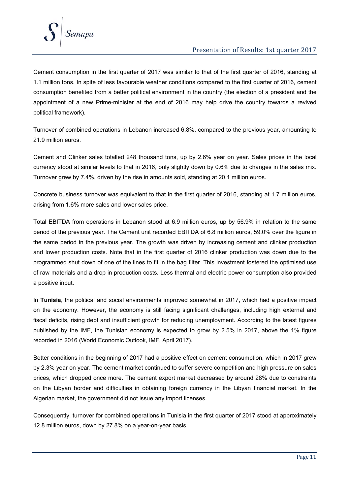

#### Presentation of Results: 1st quarter 2017

Cement consumption in the first quarter of 2017 was similar to that of the first quarter of 2016, standing at 1.1 million tons. In spite of less favourable weather conditions compared to the first quarter of 2016, cement consumption benefited from a better political environment in the country (the election of a president and the appointment of a new Prime-minister at the end of 2016 may help drive the country towards a revived political framework).

Turnover of combined operations in Lebanon increased 6.8%, compared to the previous year, amounting to 21.9 million euros.

Cement and Clinker sales totalled 248 thousand tons, up by 2.6% year on year. Sales prices in the local currency stood at similar levels to that in 2016, only slightly down by 0.6% due to changes in the sales mix. Turnover grew by 7.4%, driven by the rise in amounts sold, standing at 20.1 million euros.

Concrete business turnover was equivalent to that in the first quarter of 2016, standing at 1.7 million euros, arising from 1.6% more sales and lower sales price.

Total EBITDA from operations in Lebanon stood at 6.9 million euros, up by 56.9% in relation to the same period of the previous year. The Cement unit recorded EBITDA of 6.8 million euros, 59.0% over the figure in the same period in the previous year. The growth was driven by increasing cement and clinker production and lower production costs. Note that in the first quarter of 2016 clinker production was down due to the programmed shut down of one of the lines to fit in the bag filter. This investment fostered the optimised use of raw materials and a drop in production costs. Less thermal and electric power consumption also provided a positive input.

In **Tunisia**, the political and social environments improved somewhat in 2017, which had a positive impact on the economy. However, the economy is still facing significant challenges, including high external and fiscal deficits, rising debt and insufficient growth for reducing unemployment. According to the latest figures published by the IMF, the Tunisian economy is expected to grow by 2.5% in 2017, above the 1% figure recorded in 2016 (World Economic Outlook, IMF, April 2017).

Better conditions in the beginning of 2017 had a positive effect on cement consumption, which in 2017 grew by 2.3% year on year. The cement market continued to suffer severe competition and high pressure on sales prices, which dropped once more. The cement export market decreased by around 28% due to constraints on the Libyan border and difficulties in obtaining foreign currency in the Libyan financial market. In the Algerian market, the government did not issue any import licenses.

Consequently, turnover for combined operations in Tunisia in the first quarter of 2017 stood at approximately 12.8 million euros, down by 27.8% on a year-on-year basis.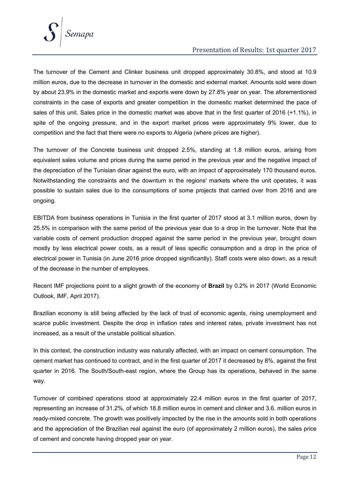

#### Presentation of Results: 1st quarter 2017

The turnover of the Cement and Clinker business unit dropped approximately 30.8%, and stood at 10.9 million euros, due to the decrease in turnover in the domestic and external market. Amounts sold were down by about 23.9% in the domestic market and exports were down by 27.8% year on year. The aforementioned constraints in the case of exports and greater competition in the domestic market determined the pace of sales of this unit. Sales price in the domestic market was above that in the first quarter of 2016 (+1.1%), in spite of the ongoing pressure, and in the export market prices were approximately 9% lower, due to competition and the fact that there were no exports to Algeria (where prices are higher).

The turnover of the Concrete business unit dropped 2.5%, standing at 1.8 million euros, arising from equivalent sales volume and prices during the same period in the previous year and the negative impact of the depreciation of the Tunisian dinar against the euro, with an impact of approximately 170 thousand euros. Notwithstanding the constraints and the downturn in the regions' markets where the unit operates, it was possible to sustain sales due to the consumptions of some projects that carried over from 2016 and are ongoing.

EBITDA from business operations in Tunisia in the first quarter of 2017 stood at 3.1 million euros, down by 25.5% in comparison with the same period of the previous year due to a drop in the turnover. Note that the variable costs of cement production dropped against the same period in the previous year, brought down mostly by less electrical power costs, as a result of less specific consumption and a drop in the price of electrical power in Tunisia (in June 2016 price dropped significantly). Staff costs were also down, as a result of the decrease in the number of employees.

Recent IMF projections point to a slight growth of the economy of **Brazil** by 0.2% in 2017 (World Economic Outlook, IMF, April 2017).

Brazilian economy is still being affected by the lack of trust of economic agents, rising unemployment and scarce public investment. Despite the drop in inflation rates and interest rates, private investment has not increased, as a result of the unstable political situation.

In this context, the construction industry was naturally affected, with an impact on cement consumption. The cement market has continued to contract, and in the first quarter of 2017 it decreased by 8%, against the first quarter in 2016. The South/South-east region, where the Group has its operations, behaved in the same way.

Turnover of combined operations stood at approximately 22.4 million euros in the first quarter of 2017, representing an increase of 31.2%, of which 18.8 million euros in cement and clinker and 3.6. million euros in ready-mixed concrete. The growth was positively impacted by the rise in the amounts sold in both operations and the appreciation of the Brazilian real against the euro (of approximately 2 million euros), the sales price of cement and concrete having dropped year on year.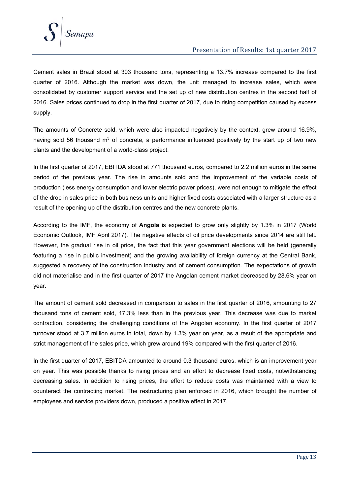

Cement sales in Brazil stood at 303 thousand tons, representing a 13.7% increase compared to the first quarter of 2016. Although the market was down, the unit managed to increase sales, which were consolidated by customer support service and the set up of new distribution centres in the second half of 2016. Sales prices continued to drop in the first quarter of 2017, due to rising competition caused by excess supply.

The amounts of Concrete sold, which were also impacted negatively by the context, grew around 16.9%, having sold 56 thousand  $m<sup>3</sup>$  of concrete, a performance influenced positively by the start up of two new plants and the development of a world-class project.

In the first quarter of 2017, EBITDA stood at 771 thousand euros, compared to 2.2 million euros in the same period of the previous year. The rise in amounts sold and the improvement of the variable costs of production (less energy consumption and lower electric power prices), were not enough to mitigate the effect of the drop in sales price in both business units and higher fixed costs associated with a larger structure as a result of the opening up of the distribution centres and the new concrete plants.

According to the IMF, the economy of **Angola** is expected to grow only slightly by 1.3% in 2017 (World Economic Outlook, IMF April 2017). The negative effects of oil price developments since 2014 are still felt. However, the gradual rise in oil price, the fact that this year government elections will be held (generally featuring a rise in public investment) and the growing availability of foreign currency at the Central Bank, suggested a recovery of the construction industry and of cement consumption. The expectations of growth did not materialise and in the first quarter of 2017 the Angolan cement market decreased by 28.6% year on year.

The amount of cement sold decreased in comparison to sales in the first quarter of 2016, amounting to 27 thousand tons of cement sold, 17.3% less than in the previous year. This decrease was due to market contraction, considering the challenging conditions of the Angolan economy. In the first quarter of 2017 turnover stood at 3.7 million euros in total, down by 1.3% year on year, as a result of the appropriate and strict management of the sales price, which grew around 19% compared with the first quarter of 2016.

In the first quarter of 2017, EBITDA amounted to around 0.3 thousand euros, which is an improvement year on year. This was possible thanks to rising prices and an effort to decrease fixed costs, notwithstanding decreasing sales. In addition to rising prices, the effort to reduce costs was maintained with a view to counteract the contracting market. The restructuring plan enforced in 2016, which brought the number of employees and service providers down, produced a positive effect in 2017.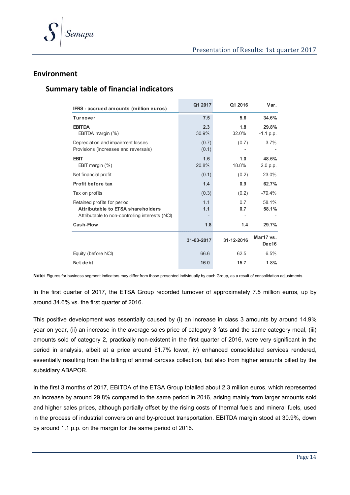

#### **Environment**

#### **Summary table of financial indicators**

| IFRS - accrued amounts (million euros)                                                                              | Q1 2017        | Q1 2016      | Var.                 |
|---------------------------------------------------------------------------------------------------------------------|----------------|--------------|----------------------|
| <b>Turnover</b>                                                                                                     | 7.5            | 5.6          | 34.6%                |
| <b>EBITDA</b><br>EBITDA margin (%)                                                                                  | 2.3<br>30.9%   | 1.8<br>32.0% | 29.8%<br>$-1.1 p.p.$ |
| Depreciation and impairment losses<br>Provisions (increases and reversals)                                          | (0.7)<br>(0.1) | (0.7)        | 3.7%                 |
| <b>EBIT</b><br>EBIT margin $(\%)$                                                                                   | 1.6<br>20.8%   | 1.0<br>18.8% | 48.6%<br>2.0 p.p.    |
| Net financial profit                                                                                                | (0.1)          | (0.2)        | 23.0%                |
| Profit before tax                                                                                                   | 1.4            | 0.9          | 62.7%                |
| Tax on profits                                                                                                      | (0.3)          | (0.2)        | $-79.4%$             |
| Retained profits for period<br>Attributable to ETSA shareholders<br>Attributable to non-controlling interests (NCI) | 1.1<br>1.1     | 0.7<br>0.7   | 58.1%<br>58.1%       |
| Cash-Flow                                                                                                           | 1.8            | 1.4          | 29.7%                |
|                                                                                                                     | 31-03-2017     | 31-12-2016   | Mar17 vs.<br>Dec16   |
| Equity (before NCI)                                                                                                 | 66.6           | 62.5         | 6.5%                 |
| Net debt                                                                                                            | 16.0           | 15.7         | 1.8%                 |

Note: Figures for business segment indicators may differ from those presented individually by each Group, as a result of consolidation adjustments.

In the first quarter of 2017, the ETSA Group recorded turnover of approximately 7.5 million euros, up by around 34.6% vs. the first quarter of 2016.

This positive development was essentially caused by (i) an increase in class 3 amounts by around 14.9% year on year, (ii) an increase in the average sales price of category 3 fats and the same category meal, (iii) amounts sold of category 2, practically non-existent in the first quarter of 2016, were very significant in the period in analysis, albeit at a price around 51.7% lower, iv) enhanced consolidated services rendered, essentially resulting from the billing of animal carcass collection, but also from higher amounts billed by the subsidiary ABAPOR.

In the first 3 months of 2017, EBITDA of the ETSA Group totalled about 2.3 million euros, which represented an increase by around 29.8% compared to the same period in 2016, arising mainly from larger amounts sold and higher sales prices, although partially offset by the rising costs of thermal fuels and mineral fuels, used in the process of industrial conversion and by-product transportation. EBITDA margin stood at 30.9%, down by around 1.1 p.p. on the margin for the same period of 2016.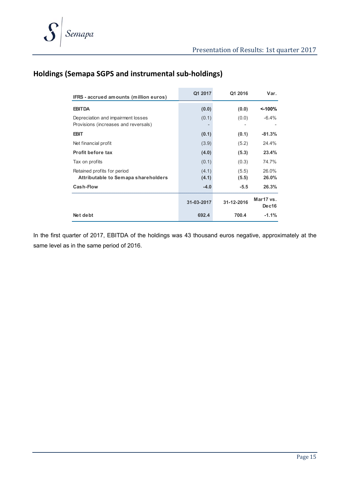### **Holdings (Semapa SGPS and instrumental sub‐holdings)**

| IFRS - accrued amounts (million euros)                                     | Q1 2017        | Q1 2016        | Var.               |
|----------------------------------------------------------------------------|----------------|----------------|--------------------|
| <b>EBITDA</b>                                                              | (0.0)          | (0.0)          | <-100%             |
| Depreciation and impairment losses<br>Provisions (increases and reversals) | (0.1)          | (0.0)          | $-6.4%$            |
| <b>EBIT</b>                                                                | (0.1)          | (0.1)          | $-81.3%$           |
| Net financial profit                                                       | (3.9)          | (5.2)          | 24.4%              |
| <b>Profit before tax</b>                                                   | (4.0)          | (5.3)          | 23.4%              |
| Tax on profits                                                             | (0.1)          | (0.3)          | 74.7%              |
| Retained profits for period<br>Attributable to Semapa shareholders         | (4.1)<br>(4.1) | (5.5)<br>(5.5) | 26.0%<br>26.0%     |
| Cash-Flow                                                                  | $-4.0$         | $-5.5$         | 26.3%              |
|                                                                            | 31-03-2017     | 31-12-2016     | Mar17 vs.<br>Dec16 |
| Net debt                                                                   | 692.4          | 700.4          | $-1.1%$            |

In the first quarter of 2017, EBITDA of the holdings was 43 thousand euros negative, approximately at the same level as in the same period of 2016.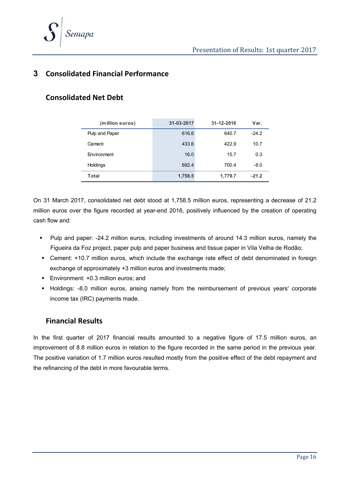

### **3 Consolidated Financial Performance**

#### **Consolidated Net Debt**

| (million euros) | 31-03-2017 | 31-12-2016 | Var.    |
|-----------------|------------|------------|---------|
| Pulp and Paper  | 616.6      | 640.7      | $-24.2$ |
| Cement          | 433.6      | 422.9      | 10.7    |
| Environment     | 16.0       | 15.7       | 0.3     |
| Holdings        | 692.4      | 700.4      | $-8.0$  |
| Total           | 1,758.5    | 1,779.7    | $-21.2$ |

On 31 March 2017, consolidated net debt stood at 1,758.5 million euros, representing a decrease of 21.2 million euros over the figure recorded at year-end 2016, positively influenced by the creation of operating cash flow and:

- Pulp and paper: -24.2 million euros, including investments of around 14.3 million euros, namely the Figueira da Foz project, paper pulp and paper business and tissue paper in Vila Velha de Rodão;
- Cement: +10.7 million euros, which include the exchange rate effect of debt denominated in foreign exchange of approximately +3 million euros and investments made;
- **Environment: +0.3 million euros: and**
- Holdings: -8.0 million euros, arising namely from the reimbursement of previous years' corporate income tax (IRC) payments made.

#### **Financial Results**

In the first quarter of 2017 financial results amounted to a negative figure of 17.5 million euros, an improvement of 8.8 million euros in relation to the figure recorded in the same period in the previous year. The positive variation of 1.7 million euros resulted mostly from the positive effect of the debt repayment and the refinancing of the debt in more favourable terms.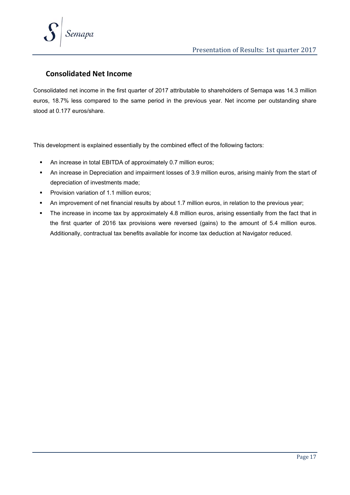

#### **Consolidated Net Income**

Consolidated net income in the first quarter of 2017 attributable to shareholders of Semapa was 14.3 million euros, 18.7% less compared to the same period in the previous year. Net income per outstanding share stood at 0.177 euros/share.

This development is explained essentially by the combined effect of the following factors:

- An increase in total EBITDA of approximately 0.7 million euros;
- An increase in Depreciation and impairment losses of 3.9 million euros, arising mainly from the start of depreciation of investments made;
- **Provision variation of 1.1 million euros;**
- An improvement of net financial results by about 1.7 million euros, in relation to the previous year;
- The increase in income tax by approximately 4.8 million euros, arising essentially from the fact that in the first quarter of 2016 tax provisions were reversed (gains) to the amount of 5.4 million euros. Additionally, contractual tax benefits available for income tax deduction at Navigator reduced.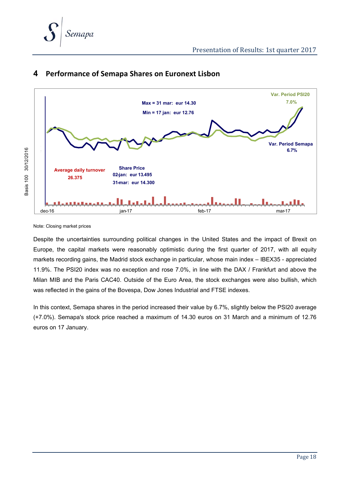



#### **4 Performance of Semapa Shares on Euronext Lisbon**

Note: Closing market prices

Despite the uncertainties surrounding political changes in the United States and the impact of Brexit on Europe, the capital markets were reasonably optimistic during the first quarter of 2017, with all equity markets recording gains, the Madrid stock exchange in particular, whose main index – IBEX35 - appreciated 11.9%. The PSI20 index was no exception and rose 7.0%, in line with the DAX / Frankfurt and above the Milan MIB and the Paris CAC40. Outside of the Euro Area, the stock exchanges were also bullish, which was reflected in the gains of the Bovespa, Dow Jones Industrial and FTSE indexes.

In this context, Semapa shares in the period increased their value by 6.7%, slightly below the PSI20 average (+7.0%). Semapa's stock price reached a maximum of 14.30 euros on 31 March and a minimum of 12.76 euros on 17 January.

Page 18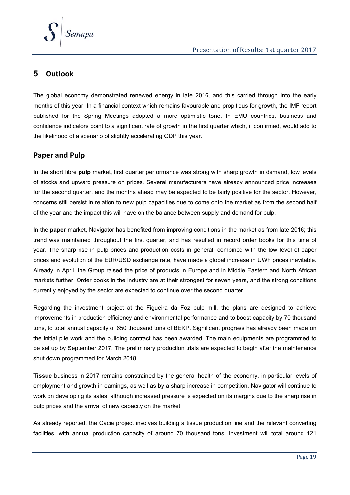

### **5 Outlook**

The global economy demonstrated renewed energy in late 2016, and this carried through into the early months of this year. In a financial context which remains favourable and propitious for growth, the IMF report published for the Spring Meetings adopted a more optimistic tone. In EMU countries, business and confidence indicators point to a significant rate of growth in the first quarter which, if confirmed, would add to the likelihood of a scenario of slightly accelerating GDP this year.

#### **Paper and Pulp**

In the short fibre **pulp** market, first quarter performance was strong with sharp growth in demand, low levels of stocks and upward pressure on prices. Several manufacturers have already announced price increases for the second quarter, and the months ahead may be expected to be fairly positive for the sector. However, concerns still persist in relation to new pulp capacities due to come onto the market as from the second half of the year and the impact this will have on the balance between supply and demand for pulp.

In the **paper** market, Navigator has benefited from improving conditions in the market as from late 2016; this trend was maintained throughout the first quarter, and has resulted in record order books for this time of year. The sharp rise in pulp prices and production costs in general, combined with the low level of paper prices and evolution of the EUR/USD exchange rate, have made a global increase in UWF prices inevitable. Already in April, the Group raised the price of products in Europe and in Middle Eastern and North African markets further. Order books in the industry are at their strongest for seven years, and the strong conditions currently enjoyed by the sector are expected to continue over the second quarter.

Regarding the investment project at the Figueira da Foz pulp mill, the plans are designed to achieve improvements in production efficiency and environmental performance and to boost capacity by 70 thousand tons, to total annual capacity of 650 thousand tons of BEKP. Significant progress has already been made on the initial pile work and the building contract has been awarded. The main equipments are programmed to be set up by September 2017. The preliminary production trials are expected to begin after the maintenance shut down programmed for March 2018.

**Tissue** business in 2017 remains constrained by the general health of the economy, in particular levels of employment and growth in earnings, as well as by a sharp increase in competition. Navigator will continue to work on developing its sales, although increased pressure is expected on its margins due to the sharp rise in pulp prices and the arrival of new capacity on the market.

As already reported, the Cacia project involves building a tissue production line and the relevant converting facilities, with annual production capacity of around 70 thousand tons. Investment will total around 121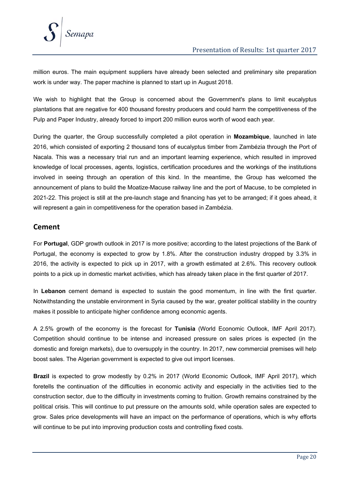

million euros. The main equipment suppliers have already been selected and preliminary site preparation work is under way. The paper machine is planned to start up in August 2018.

We wish to highlight that the Group is concerned about the Government's plans to limit eucalyptus plantations that are negative for 400 thousand forestry producers and could harm the competitiveness of the Pulp and Paper Industry, already forced to import 200 million euros worth of wood each year.

During the quarter, the Group successfully completed a pilot operation in **Mozambique**, launched in late 2016, which consisted of exporting 2 thousand tons of eucalyptus timber from Zambézia through the Port of Nacala. This was a necessary trial run and an important learning experience, which resulted in improved knowledge of local processes, agents, logistics, certification procedures and the workings of the institutions involved in seeing through an operation of this kind. In the meantime, the Group has welcomed the announcement of plans to build the Moatize-Macuse railway line and the port of Macuse, to be completed in 2021-22. This project is still at the pre-launch stage and financing has yet to be arranged; if it goes ahead, it will represent a gain in competitiveness for the operation based in Zambézia.

#### **Cement**

For **Portugal**, GDP growth outlook in 2017 is more positive; according to the latest projections of the Bank of Portugal, the economy is expected to grow by 1.8%. After the construction industry dropped by 3.3% in 2016, the activity is expected to pick up in 2017, with a growth estimated at 2.6%. This recovery outlook points to a pick up in domestic market activities, which has already taken place in the first quarter of 2017.

In **Lebanon** cement demand is expected to sustain the good momentum, in line with the first quarter. Notwithstanding the unstable environment in Syria caused by the war, greater political stability in the country makes it possible to anticipate higher confidence among economic agents.

A 2.5% growth of the economy is the forecast for **Tunisia** (World Economic Outlook, IMF April 2017). Competition should continue to be intense and increased pressure on sales prices is expected (in the domestic and foreign markets), due to oversupply in the country. In 2017, new commercial premises will help boost sales. The Algerian government is expected to give out import licenses.

**Brazil** is expected to grow modestly by 0.2% in 2017 (World Economic Outlook, IMF April 2017), which foretells the continuation of the difficulties in economic activity and especially in the activities tied to the construction sector, due to the difficulty in investments coming to fruition. Growth remains constrained by the political crisis. This will continue to put pressure on the amounts sold, while operation sales are expected to grow. Sales price developments will have an impact on the performance of operations, which is why efforts will continue to be put into improving production costs and controlling fixed costs.